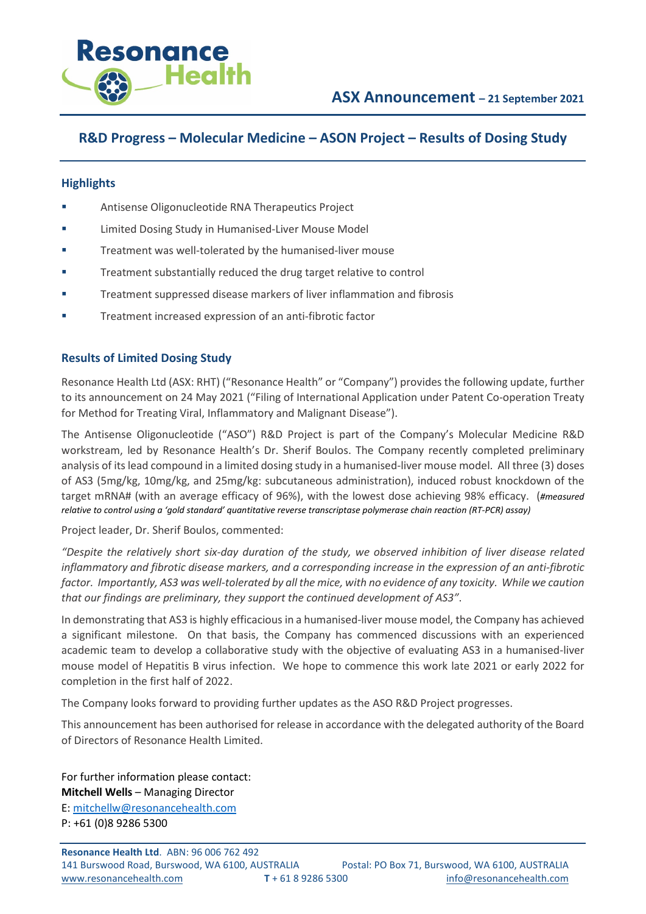

## **R&D Progress – Molecular Medicine – ASON Project – Results of Dosing Study**

## **Highlights**

- **EXECUTE:** Antisense Oligonucleotide RNA Therapeutics Project
- Limited Dosing Study in Humanised-Liver Mouse Model
- **Treatment was well-tolerated by the humanised-liver mouse**
- **Treatment substantially reduced the drug target relative to control**
- **Treatment suppressed disease markers of liver inflammation and fibrosis**
- **Treatment increased expression of an anti-fibrotic factor**

## **Results of Limited Dosing Study**

Resonance Health Ltd (ASX: RHT) ("Resonance Health" or "Company") provides the following update, further to its announcement on 24 May 2021 ("Filing of International Application under Patent Co-operation Treaty for Method for Treating Viral, Inflammatory and Malignant Disease").

The Antisense Oligonucleotide ("ASO") R&D Project is part of the Company's Molecular Medicine R&D workstream, led by Resonance Health's Dr. Sherif Boulos. The Company recently completed preliminary analysis of its lead compound in a limited dosing study in a humanised-liver mouse model. All three (3) doses of AS3 (5mg/kg, 10mg/kg, and 25mg/kg: subcutaneous administration), induced robust knockdown of the target mRNA# (with an average efficacy of 96%), with the lowest dose achieving 98% efficacy. (*#measured relative to control using a 'gold standard' quantitative reverse transcriptase polymerase chain reaction (RT-PCR) assay)*

Project leader, Dr. Sherif Boulos, commented:

*"Despite the relatively short six-day duration of the study, we observed inhibition of liver disease related inflammatory and fibrotic disease markers, and a corresponding increase in the expression of an anti-fibrotic factor. Importantly, AS3 was well-tolerated by all the mice, with no evidence of any toxicity. While we caution that our findings are preliminary, they support the continued development of AS3"*.

In demonstrating that AS3 is highly efficacious in a humanised-liver mouse model, the Company has achieved a significant milestone. On that basis, the Company has commenced discussions with an experienced academic team to develop a collaborative study with the objective of evaluating AS3 in a humanised-liver mouse model of Hepatitis B virus infection. We hope to commence this work late 2021 or early 2022 for completion in the first half of 2022.

The Company looks forward to providing further updates as the ASO R&D Project progresses.

This announcement has been authorised for release in accordance with the delegated authority of the Board of Directors of Resonance Health Limited.

For further information please contact: **Mitchell Wells** – Managing Director E: [mitchellw@resonancehealth.com](mailto:mitchellw@resonancehealth.com) P: +61 (0)8 9286 5300